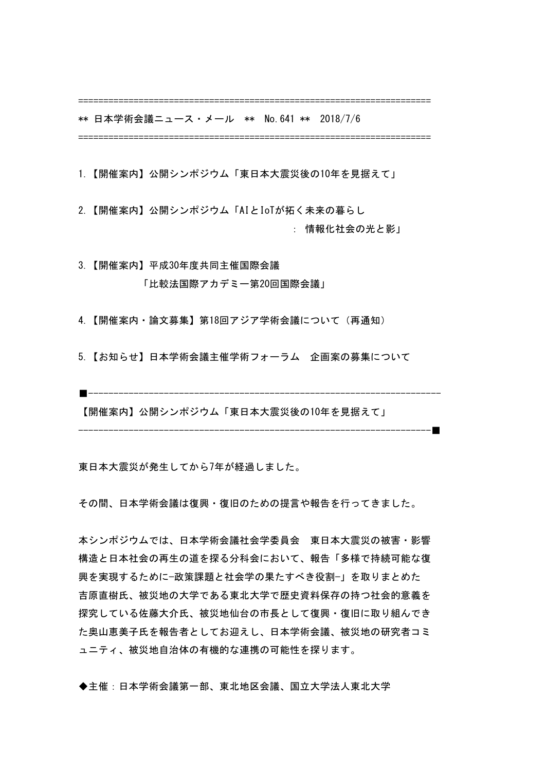======================================================================

======================================================================

\*\* 日本学術会議ニュース・メール \*\* No.641 \*\* 2018/7/6 

- 1.【開催案内】公開シンポジウム「東日本大震災後の10年を見据えて」
- 2.【開催案内】公開シンポジウム「AIとIoTが拓く未来の暮らし : 情報化社会の光と影」

3.【開催案内】平成30年度共同主催国際会議 「比較法国際アカデミー第20回国際会議」

4.【開催案内・論文募集】第18回アジア学術会議について(再通知)

5.【お知らせ】日本学術会議主催学術フォーラム 企画案の募集について

■----------------------------------------------------------------------

----------------------------------------------------------------------■

【開催案内】公開シンポジウム「東日本大震災後の10年を見据えて」

東日本大震災が発生してから7年が経過しました。

その間、日本学術会議は復興・復旧のための提言や報告を行ってきました。

本シンポジウムでは、日本学術会議社会学委員会 東日本大震災の被害・影響 構造と日本社会の再生の道を探る分科会において、報告「多様で持続可能な復 興を実現するために—政策課題と社会学の果たすべき役割—」を取りまとめた 吉原直樹氏、被災地の大学である東北大学で歴史資料保存の持つ社会的意義を 探究している佐藤大介氏、被災地仙台の市長として復興・復旧に取り組んでき た奥山恵美子氏を報告者としてお迎えし、日本学術会議、被災地の研究者コミ ュニティ、被災地自治体の有機的な連携の可能性を探ります。

◆主催:日本学術会議第一部、東北地区会議、国立大学法人東北大学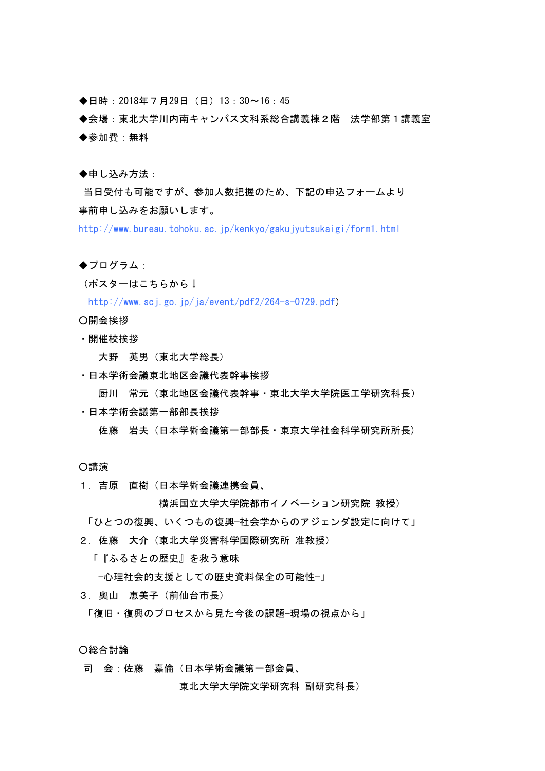◆日時:2018年7月29日(日)13:30〜16:45 

◆会場:東北大学川内南キャンパス文科系総合講義棟2階 法学部第1講義室 ◆参加費:無料

◆申し込み方法:

当日受付も可能ですが、参加人数把握のため、下記の申込フォームより 事前申し込みをお願いします。

http://www.bureau.tohoku.ac.jp/kenkyo/gakujyutsukaigi/form1.html

◆プログラム:

(ポスターはこちらから↓

http://www.scj.go.jp/ja/event/pdf2/264-s-0729.pdf)

○開会挨拶

・開催校挨拶

 大野 英男(東北大学総長)

・日本学術会議東北地区会議代表幹事挨拶

 厨川 常元(東北地区会議代表幹事・東北大学大学院医工学研究科長)

・日本学術会議第一部部長挨拶

 佐藤 岩夫(日本学術会議第一部部長・東京大学社会科学研究所所長)

○講演

1.吉原 直樹(日本学術会議連携会員、

横浜国立大学大学院都市イノベーション研究院 教授) 「ひとつの復興、いくつもの復興—社会学からのアジェンダ設定に向けて」

- 2.佐藤 大介(東北大学災害科学国際研究所 准教授)
	- 「『ふるさとの歴史』を救う意味

—心理社会的支援としての歴史資料保全の可能性—」

3.奥山 恵美子(前仙台市長)

「復旧・復興のプロセスから見た今後の課題−現場の視点から」

○総合討論

司 会:佐藤 嘉倫(日本学術会議第一部会員、

 東北大学大学院文学研究科 副研究科長)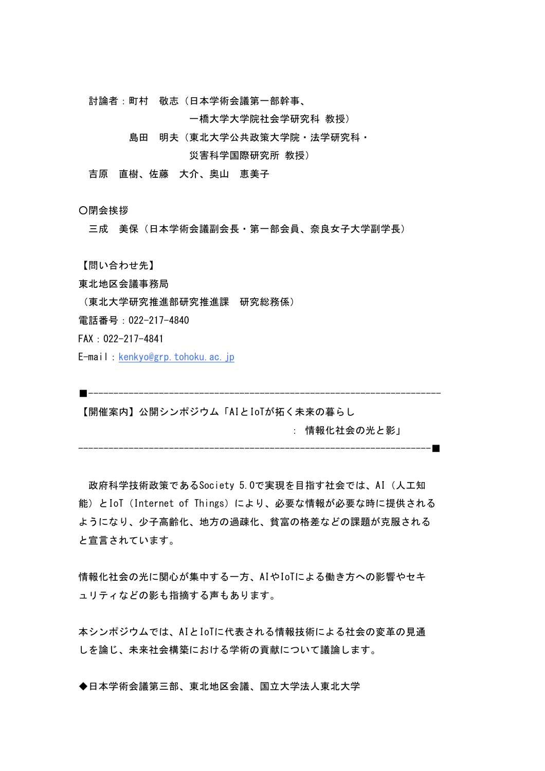討論者:町村 敬志(日本学術会議第一部幹事、

 一橋大学大学院社会学研究科 教授)

 島田 明夫(東北大学公共政策大学院・法学研究科・

 災害科学国際研究所 教授)

吉原 直樹、佐藤 大介、奥山 恵美子

○閉会挨拶

三成 美保 (日本学術会議副会長・第一部会員、奈良女子大学副学長)

【問い合わせ先】

東北地区会議事務局

(東北大学研究推進部研究推進課 研究総務係)

電話番号:022-217-4840

FAX:022-217-4841

E-mail: kenkyo@grp.tohoku.ac.jp

■----------------------------------------------------------------------

----------------------------------------------------------------------■

【開催案内】公開シンポジウム「AIとIoTが拓く未来の暮らし

 : 情報化社会の光と影」

政府科学技術政策であるSociety 5.0で実現を目指す社会では、AI (人工知 能)とIoT(Internet of Things)により、必要な情報が必要な時に提供される ようになり、少子高齢化、地方の過疎化、貧富の格差などの課題が克服される と宣言されています。

情報化社会の光に関心が集中する一方、AIやIoTによる働き方への影響やセキ ュリティなどの影も指摘する声もあります。

本シンポジウムでは、AIとIoTに代表される情報技術による社会の変革の見通 しを論じ、未来社会構築における学術の貢献について議論します。

◆日本学術会議第三部、東北地区会議、国立大学法人東北大学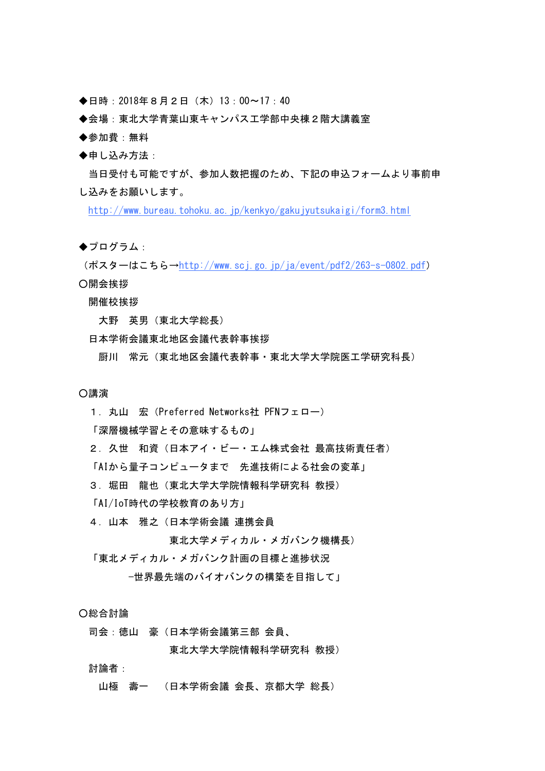- ◆日時:2018年8月2日(木)13:00〜17:40
- ◆会場:東北大学青葉山東キャンパス工学部中央棟2階大講義室
- ◆参加費:無料
- ◆申し込み方法:

当日受付も可能ですが、参加人数把握のため、下記の申込フォームより事前申 し込みをお願いします。

http://www.bureau.tohoku.ac.jp/kenkyo/gakujyutsukaigi/form3.html

◆プログラム:

(ポスターはこちら→http://www.scj.go.jp/ja/event/pdf2/263-s-0802.pdf) ○開会挨拶

開催校挨拶

 大野 英男(東北大学総長)

日本学術会議東北地区会議代表幹事挨拶

 厨川 常元(東北地区会議代表幹事・東北大学大学院医工学研究科長)

#### ○講演

1. 丸山 宏 (Preferred Networks社 PFNフェロー)

「深層機械学習とその意味するもの」

2. 久世 和資(日本アイ・ビー・エム株式会社 最高技術責任者)

「AIから量子コンピュータまで 先進技術による社会の変革」

- 3. 堀田 龍也 (東北大学大学院情報科学研究科 教授)
- 「AI/IoT時代の学校教育のあり方」
- 4.山本 雅之(日本学術会議 連携会員

 東北大学メディカル・メガバンク機構長)

「東北メディカル・メガバンク計画の目標と進捗状況

 −世界最先端のバイオバンクの構築を目指して」

○総合討論

司会:徳山 豪(日本学術会議第三部 会員、

 東北大学大学院情報科学研究科 教授)

討論者:

 山極 壽一 (日本学術会議 会長、京都大学 総長)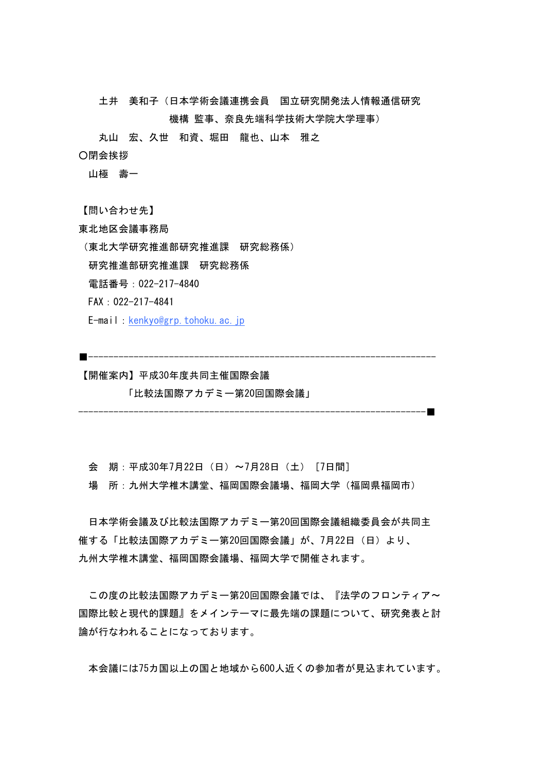土井 美和子(日本学術会議連携会員 国立研究開発法人情報通信研究

 機構 監事、奈良先端科学技術大学院大学理事)

 丸山 宏、久世 和資、堀田 龍也、山本 雅之

○閉会挨拶

山極 壽一

【問い合わせ先】

東北地区会議事務局

(東北大学研究推進部研究推進課 研究総務係)

研究推進部研究推進課 研究総務係

電話番号:022-217-4840

FAX:022-217-4841

E-mail: kenkyo@grp.tohoku.ac.jp

【開催案内】平成30年度共同主催国際会議

「比較法国際アカデミー第20回国際会議」

会 期:平成30年7月22日(日)〜7月28日(土)[7日間]

場 所:九州大学椎木講堂、福岡国際会議場、福岡大学(福岡県福岡市)

■---------------------------------------------------------------------

---------------------------------------------------------------------■

日本学術会議及び比較法国際アカデミー第20回国際会議組織委員会が共同主 催する「比較法国際アカデミー第20回国際会議」が、7月22日(日)より、 九州大学椎木講堂、福岡国際会議場、福岡大学で開催されます。

この度の比較法国際アカデミー第20回国際会議では、『法学のフロンティア〜 国際比較と現代的課題』をメインテーマに最先端の課題について、研究発表と討 論が行なわれることになっております。

本会議には75カ国以上の国と地域から600人近くの参加者が見込まれています。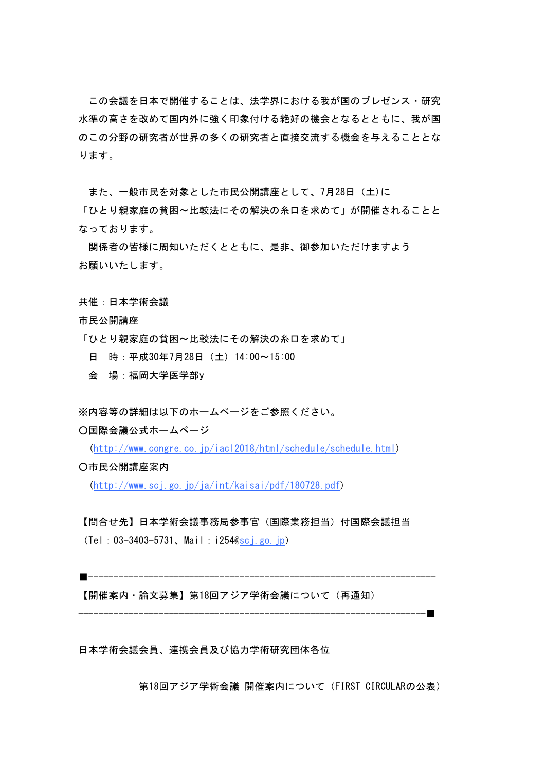この会議を日本で開催することは、法学界における我が国のプレゼンス・研究 水準の高さを改めて国内外に強く印象付ける絶好の機会となるとともに、我が国 のこの分野の研究者が世界の多くの研究者と直接交流する機会を与えることとな ります。

また、一般市民を対象とした市民公開講座として、7月28日(土)に

「ひとり親家庭の貧困〜比較法にその解決の糸口を求めて」が開催されることと なっております。

関係者の皆様に周知いただくとともに、是非、御参加いただけますよう お願いいたします。

共催:日本学術会議

市民公開講座

- 「ひとり親家庭の貧困〜比較法にその解決の糸口を求めて」
	- 日 時:平成30年7月28日(土) 14:00〜15:00
	- 会 場:福岡大学医学部y

※内容等の詳細は以下のホームページをご参照ください。

○国際会議公式ホームページ

(http://www.congre.co.jp/iacl2018/html/schedule/schedule.html)

○市民公開講座案内

(http://www.scj.go.jp/ja/int/kaisai/pdf/180728.pdf)

# 【問合せ先】日本学術会議事務局参事官(国際業務担当)付国際会議担当

(Tel:03-3403-5731、Mail:i254@scj.go.jp)

■ ---------------

【開催案内・論文募集】第18回アジア学術会議について(再通知)

---------------------------------------------------------------------■

日本学術会議会員、連携会員及び協力学術研究団体各位

第18回アジア学術会議 開催案内について (FIRST CIRCULARの公表)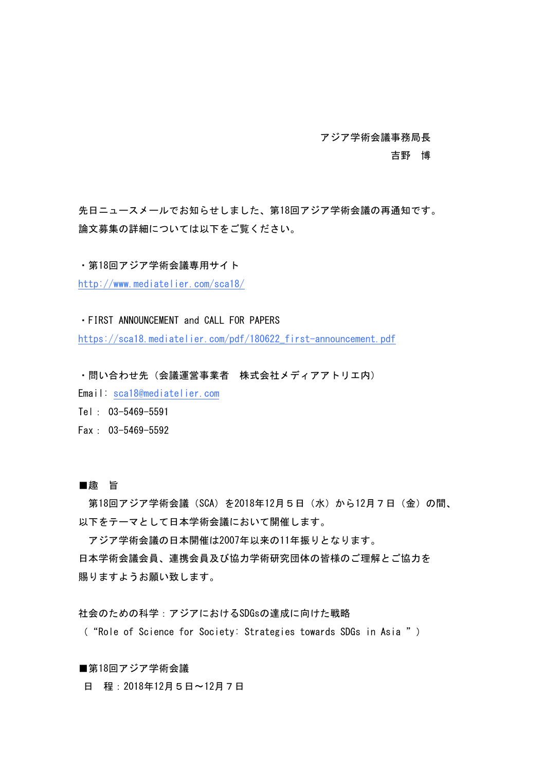アジア学術会議事務局長

 吉野 博

先日ニュースメールでお知らせしました、第18回アジア学術会議の再通知です。 論文募集の詳細については以下をご覧ください。

・第18回アジア学術会議専用サイト

http://www.mediatelier.com/sca18/

・FIRST ANNOUNCEMENT and CALL FOR PAPERS

https://sca18.mediatelier.com/pdf/180622\_first-announcement.pdf

・問い合わせ先(会議運営事業者 株式会社メディアアトリエ内)

Email sca18@mediatelier.com

Tel: 03-5469-5591 

Fax: 03-5469-5592

## ■趣 旨

第18回アジア学術会議(SCA)を2018年12月5日(水)から12月7日(金)の間、 以下をテーマとして日本学術会議において開催します。

アジア学術会議の日本開催は2007年以来の11年振りとなります。 日本学術会議会員、連携会員及び協力学術研究団体の皆様のご理解とご協力を 賜りますようお願い致します。

社会のための科学:アジアにおけるSDGsの達成に向けた戦略

( "Role of Science for Society: Strategies towards SDGs in Asia " )

■第18回アジア学術会議

日 程:2018年12月5日〜12月7日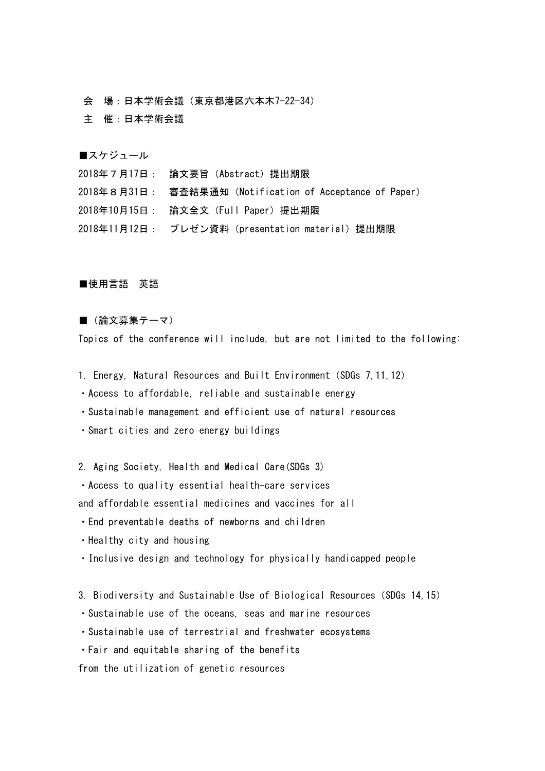会 場:日本学術会議(東京都港区六本木7-22-34)

主 催:日本学術会議

■スケジュール

2018年7月17日: 論文要旨(Abstract)提出期限

2018年8月31日: 審査結果通知(Notification of Acceptance of Paper)

2018年10月15日: 論文全文(Full Paper)提出期限

2018年11月12日: プレゼン資料 (presentation material) 提出期限

#### ■使用言語 英語

## ■(論文募集テーマ)

Topics of the conference will include, but are not limited to the following:

- 1. Energy, Natural Resources and Built Environment (SDGs 7, 11, 12)
- ・Access to affordable, reliable and sustainable energy
- ・Sustainable management and efficient use of natural resources
- ・Smart cities and zero energy buildings

2. Aging Society, Health and Medical Care(SDGs 3)

• Access to quality essential health-care services

and affordable essential medicines and vaccines for all

- ・End preventable deaths of newborns and children
- ・Healthy city and housing
- Inclusive design and technology for physically handicapped people
- 3. Biodiversity and Sustainable Use of Biological Resources (SDGs 14, 15)
- ・Sustainable use of the oceans, seas and marine resources
- ・Sustainable use of terrestrial and freshwater ecosystems
- ・Fair and equitable sharing of the benefits

from the utilization of genetic resources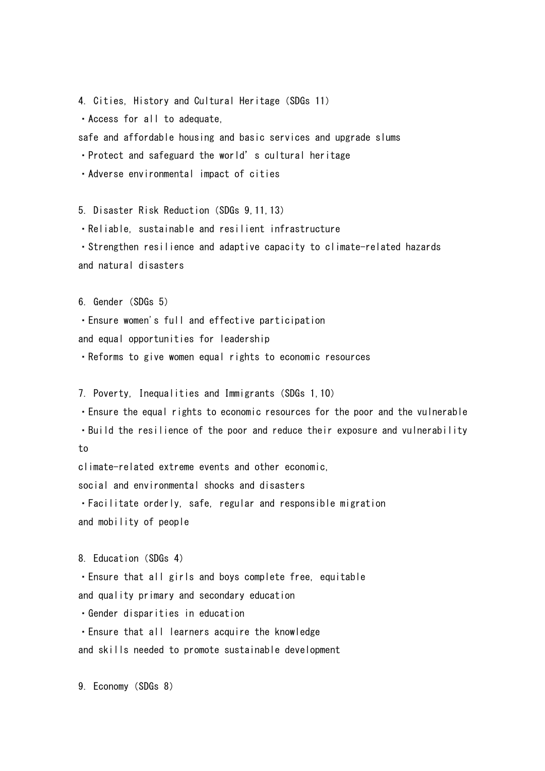4. Cities, History and Cultural Heritage (SDGs 11)

・Access for all to adequate,

safe and affordable housing and basic services and upgrade slums

• Protect and safeguard the world's cultural heritage

・Adverse environmental impact of cities

5. Disaster Risk Reduction(SDGs 9,11,13)

・Reliable, sustainable and resilient infrastructure

• Strengthen resilience and adaptive capacity to climate-related hazards and natural disasters

6. Gender (SDGs 5)

・Ensure women's full and effective participation and equal opportunities for leadership ・Reforms to give women equal rights to economic resources

7. Poverty, Inequalities and Immigrants(SDGs 1,10)

• Ensure the equal rights to economic resources for the poor and the vulnerable ・Build the resilience of the poor and reduce their exposure and vulnerability to

climate-related extreme events and other economic, social and environmental shocks and disasters ・Facilitate orderly, safe, regular and responsible migration

and mobility of people

8. Education (SDGs 4)

• Ensure that all girls and boys complete free, equitable and quality primary and secondary education

- ・Gender disparities in education
- ・Ensure that all learners acquire the knowledge

and skills needed to promote sustainable development

9. Economy (SDGs 8)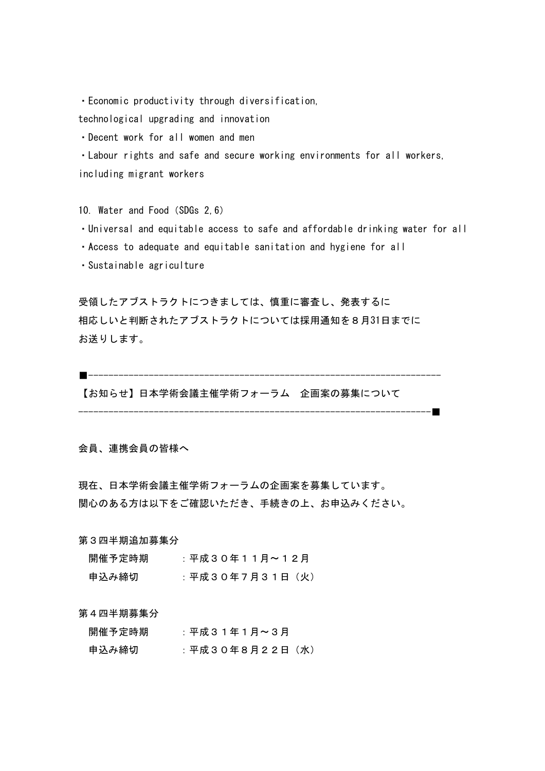・Economic productivity through diversification, 

technological upgrading and innovation

・Decent work for all women and men

・Labour rights and safe and secure working environments for all workers, including migrant workers

10. Water and Food(SDGs 2,6)

- ・Universal and equitable access to safe and affordable drinking water for all
- ・Access to adequate and equitable sanitation and hygiene for all
- ・Sustainable agriculture

受領したアブストラクトにつきましては、慎重に審査し、発表するに 相応しいと判断されたアブストラクトについては採用通知を8月31日までに お送りします。

■---------------------------------------------------------------------- 【お知らせ】日本学術会議主催学術フォーラム 企画案の募集について ----------------------------------------------------------------------■

会員、連携会員の皆様へ

現在、日本学術会議主催学術フォーラムの企画案を募集しています。 関心のある方は以下をご確認いただき、手続きの上、お申込みください。

第3四半期追加募集分

| 開催予定時期 | :平成30年11月~12月  |
|--------|----------------|
| 申込み締切  | :平成30年7月31日(火) |

第4四半期募集分

| 開催予定時期 | :平成31年1月~3月     |
|--------|-----------------|
| 申込み締切  | :平成30年8月22日 (水) |